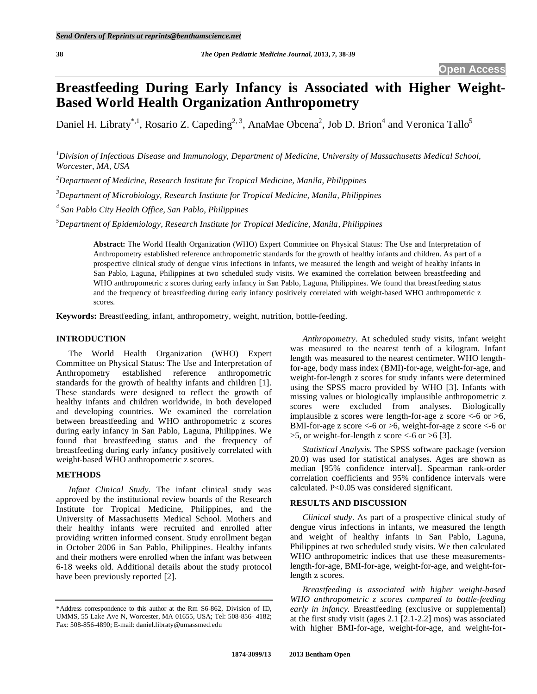# **Breastfeeding During Early Infancy is Associated with Higher Weight-Based World Health Organization Anthropometry**

Daniel H. Libraty<sup>\*,1</sup>, Rosario Z. Capeding<sup>2, 3</sup>, AnaMae Obcena<sup>2</sup>, Job D. Brion<sup>4</sup> and Veronica Tallo<sup>5</sup>

*1 Division of Infectious Disease and Immunology, Department of Medicine, University of Massachusetts Medical School, Worcester, MA, USA* 

*2 Department of Medicine, Research Institute for Tropical Medicine, Manila, Philippines* 

*3 Department of Microbiology, Research Institute for Tropical Medicine, Manila, Philippines* 

*4 San Pablo City Health Office, San Pablo, Philippines* 

*5 Department of Epidemiology, Research Institute for Tropical Medicine, Manila, Philippines* 

**Abstract:** The World Health Organization (WHO) Expert Committee on Physical Status: The Use and Interpretation of Anthropometry established reference anthropometric standards for the growth of healthy infants and children. As part of a prospective clinical study of dengue virus infections in infants, we measured the length and weight of healthy infants in San Pablo, Laguna, Philippines at two scheduled study visits. We examined the correlation between breastfeeding and WHO anthropometric z scores during early infancy in San Pablo, Laguna, Philippines. We found that breastfeeding status and the frequency of breastfeeding during early infancy positively correlated with weight-based WHO anthropometric z scores.

**Keywords:** Breastfeeding, infant, anthropometry, weight, nutrition, bottle-feeding.

## **INTRODUCTION**

 The World Health Organization (WHO) Expert Committee on Physical Status: The Use and Interpretation of Anthropometry established reference anthropometric standards for the growth of healthy infants and children [1]. These standards were designed to reflect the growth of healthy infants and children worldwide, in both developed and developing countries. We examined the correlation between breastfeeding and WHO anthropometric z scores during early infancy in San Pablo, Laguna, Philippines. We found that breastfeeding status and the frequency of breastfeeding during early infancy positively correlated with weight-based WHO anthropometric z scores.

## **METHODS**

*Infant Clinical Study*. The infant clinical study was approved by the institutional review boards of the Research Institute for Tropical Medicine, Philippines, and the University of Massachusetts Medical School. Mothers and their healthy infants were recruited and enrolled after providing written informed consent. Study enrollment began in October 2006 in San Pablo, Philippines. Healthy infants and their mothers were enrolled when the infant was between 6-18 weeks old. Additional details about the study protocol have been previously reported [2].

*Anthropometry*. At scheduled study visits, infant weight was measured to the nearest tenth of a kilogram. Infant length was measured to the nearest centimeter. WHO lengthfor-age, body mass index (BMI)-for-age, weight-for-age, and weight-for-length z scores for study infants were determined using the SPSS macro provided by WHO [3]. Infants with missing values or biologically implausible anthropometric z scores were excluded from analyses. Biologically implausible z scores were length-for-age z score  $\lt$ -6 or  $\gt$ 6, BMI-for-age z score  $\leq$ -6 or  $>$ 6, weight-for-age z score  $\leq$ -6 or >5, or weight-for-length z score <-6 or >6 [3].

*Statistical Analysis*. The SPSS software package (version 20.0) was used for statistical analyses. Ages are shown as median [95% confidence interval]. Spearman rank-order correlation coefficients and 95% confidence intervals were calculated. P<0.05 was considered significant.

## **RESULTS AND DISCUSSION**

*Clinical study*. As part of a prospective clinical study of dengue virus infections in infants, we measured the length and weight of healthy infants in San Pablo, Laguna, Philippines at two scheduled study visits. We then calculated WHO anthropometric indices that use these measurementslength-for-age, BMI-for-age, weight-for-age, and weight-forlength z scores.

*Breastfeeding is associated with higher weight-based WHO anthropometric z scores compared to bottle-feeding early in infancy*. Breastfeeding (exclusive or supplemental) at the first study visit (ages 2.1 [2.1-2.2] mos) was associated with higher BMI-for-age, weight-for-age, and weight-for-

<sup>\*</sup>Address correspondence to this author at the Rm S6-862, Division of ID, UMMS, 55 Lake Ave N, Worcester, MA 01655, USA; Tel: 508-856- 4182; Fax: 508-856-4890; E-mail: daniel.libraty@umassmed.edu